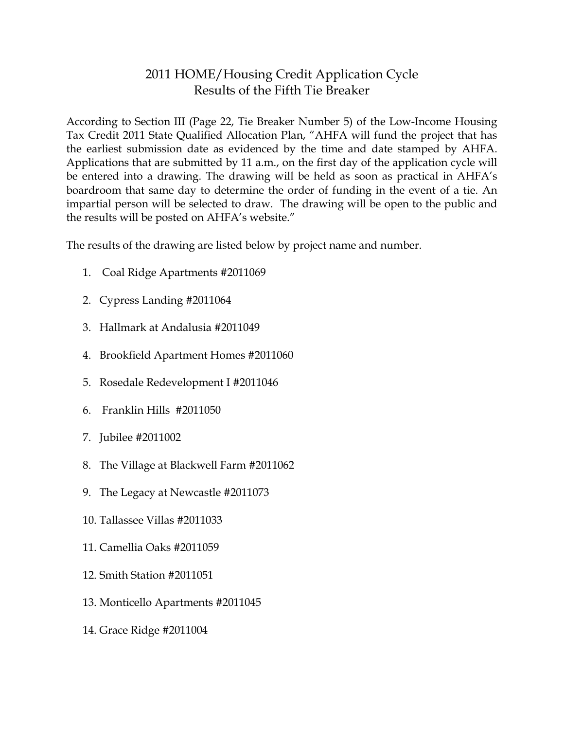## 2011 HOME/Housing Credit Application Cycle Results of the Fifth Tie Breaker

According to Section III (Page 22, Tie Breaker Number 5) of the Low-Income Housing Tax Credit 2011 State Qualified Allocation Plan, "AHFA will fund the project that has the earliest submission date as evidenced by the time and date stamped by AHFA. Applications that are submitted by 11 a.m., on the first day of the application cycle will be entered into a drawing. The drawing will be held as soon as practical in AHFA's boardroom that same day to determine the order of funding in the event of a tie. An impartial person will be selected to draw. The drawing will be open to the public and the results will be posted on AHFA's website."

The results of the drawing are listed below by project name and number.

- 1. Coal Ridge Apartments #2011069
- 2. Cypress Landing #2011064
- 3. Hallmark at Andalusia #2011049
- 4. Brookfield Apartment Homes #2011060
- 5. Rosedale Redevelopment I #2011046
- 6. Franklin Hills #2011050
- 7. Jubilee #2011002
- 8. The Village at Blackwell Farm #2011062
- 9. The Legacy at Newcastle #2011073
- 10. Tallassee Villas #2011033
- 11. Camellia Oaks #2011059
- 12. Smith Station #2011051
- 13. Monticello Apartments #2011045
- 14. Grace Ridge #2011004